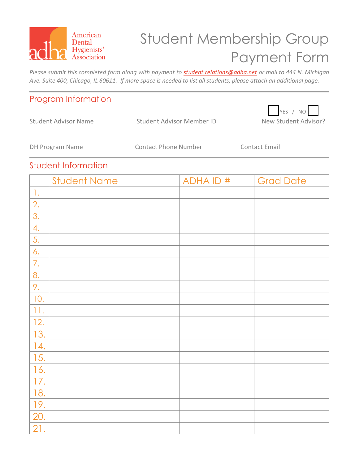

# Student Membership Group Payment Form

*Please submit this completed form along with payment to [student.relations@adha.net](mailto:student.relations@adha.net) or mail to 444 N. Michigan Ave. Suite 400, Chicago, IL 60611. If more space is needed to list all students, please attach an additional page.*

#### Program Information

Student Advisor Name Student Advisor Member ID New Student Advisor?



DH Program Name **Contact Phone Number** Contact Email

YES / NO

#### Student Information

|                | <b>Student Name</b> | <b>ADHAID#</b> | <b>Grad Date</b> |
|----------------|---------------------|----------------|------------------|
| $\mathbf{1}$ . |                     |                |                  |
| 2.             |                     |                |                  |
| 3.             |                     |                |                  |
| 4.             |                     |                |                  |
| 5.             |                     |                |                  |
| 6.             |                     |                |                  |
| 7.             |                     |                |                  |
| 8.             |                     |                |                  |
| 9.             |                     |                |                  |
| 10.            |                     |                |                  |
| 11.            |                     |                |                  |
| 12.            |                     |                |                  |
| 13.            |                     |                |                  |
| 14.            |                     |                |                  |
| 15.            |                     |                |                  |
| 16.            |                     |                |                  |
| 17.            |                     |                |                  |
| 18.            |                     |                |                  |
| 19.            |                     |                |                  |
| 20.            |                     |                |                  |
| 21.            |                     |                |                  |